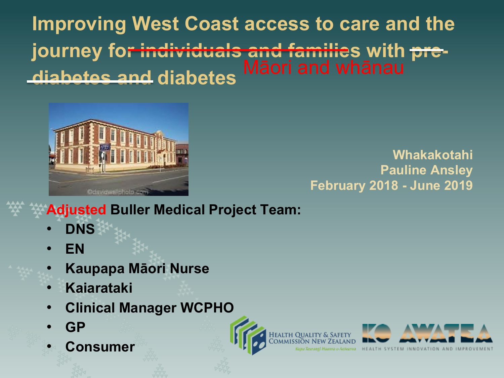**Improving West Coast access to care and the journey for individuals and families with prediabetes and diabetes** 



#### **Whakakotahi Pauline Ansley February 2018 - June 2019**

**Adjusted Buller Medical Project Team:**

- **DNS**
- **EN**
- **Kaupapa Māori Nurse**
- **Kaiarataki**
- **Clinical Manager WCPHO**
- **GP**
- **Consumer**

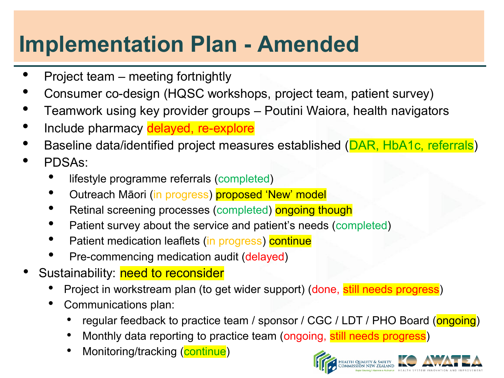# **Implementation Plan - Amended**

- Project team meeting fortnightly
- Consumer co-design (HQSC workshops, project team, patient survey)
- Teamwork using key provider groups Poutini Waiora, health navigators
- Include pharmacy delayed, re-explore
- Baseline data/identified project measures established (DAR, HbA1c, referrals)
- PDSAs:
	- lifestyle programme referrals (completed)
	- Outreach Māori (in progress) proposed 'New' model
	- Retinal screening processes (completed) ongoing though
	- Patient survey about the service and patient's needs (completed)
	- Patient medication leaflets (in progress) continue
	- Pre-commencing medication audit (delayed)
- Sustainability: need to reconsider
	- Project in workstream plan (to get wider support) (done, still needs progress)
	- Communications plan:
		- regular feedback to practice team / sponsor / CGC / LDT / PHO Board (ongoing)
		- Monthly data reporting to practice team (ongoing, still needs progress)
		- Monitoring/tracking (continue)

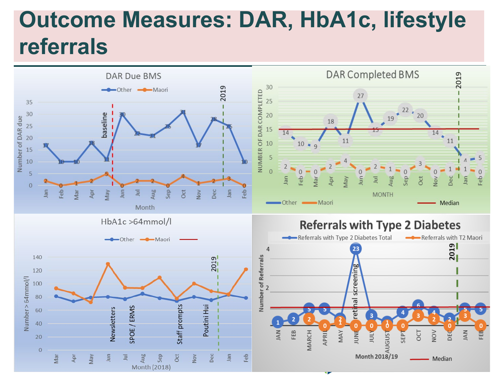## **Outcome Measures: DAR, HbA1c, lifestyle referrals**

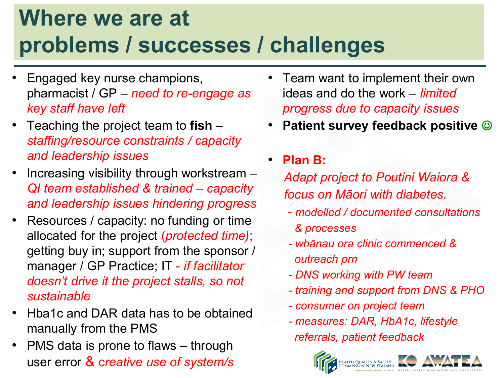## **Where we are at problems / successes / challenges**

- Engaged key nurse champions, pharmacist / GP – *need to re-engage as key staff have left*
- Teaching the project team to **fish** *staffing/resource constraints / capacity and leadership issues*
- Increasing visibility through workstream *QI team established & trained – capacity and leadership issues hindering progress*
- Resources / capacity: no funding or time allocated for the project (*protected time)*; getting buy in; support from the sponsor / manager / GP Practice; IT - *if facilitator doesn't drive it the project stalls, so not sustainable*
- Hba1c and DAR data has to be obtained manually from the PMS
- PMS data is prone to flaws through user error & c*reative use of system/s*
- Team want to implement their own ideas and do the work – *limited progress due to capacity issues*
- **Patient survey feedback positive**
- **Plan B:**

*Adapt project to Poutini Waiora & focus on Māori with diabetes.* 

- *- modelled / documented consultations & processes*
- *- whānau ora clinic commenced & outreach prn*
- *- DNS working with PW team*
- *- training and support from DNS & PHO*
- *- consumer on project team*
- *- measures: DAR, HbA1c, lifestyle referrals, patient feedback*